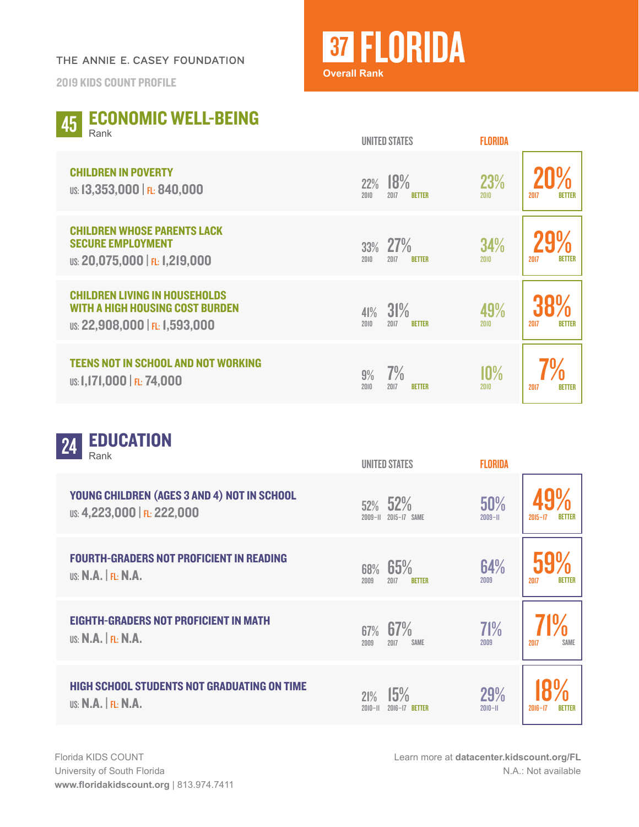## THE ANNIE E. CASEY FOUNDATION

2019 KIDS COUNT PROFILE

## **37 FLORIDA Overall Rank**

| <b>ECONOMIC WELL-BEING</b><br>45<br>Rank                                                                         | <b>UNITED STATES</b>                        | <b>FLORIDA</b>                       |
|------------------------------------------------------------------------------------------------------------------|---------------------------------------------|--------------------------------------|
| <b>CHILDREN IN POVERTY</b><br>US: 13,353,000   FL: 840,000                                                       | 18%<br>22%<br>2017<br>2010<br><b>BETTER</b> | 23%<br>2010<br>2017<br><b>BETTER</b> |
| <b>CHILDREN WHOSE PARENTS LACK</b><br><b>SECURE EMPLOYMENT</b><br>US: 20,075,000   FL: 1,219,000                 | 27%<br>33%<br>2010<br>2017<br><b>BETTER</b> | 34%<br><b>BETTER</b><br>2010<br>2017 |
| <b>CHILDREN LIVING IN HOUSEHOLDS</b><br><b>WITH A HIGH HOUSING COST BURDEN</b><br>US: 22,908,000   FL: 1,593,000 | 31%<br>41%<br>2010<br>2017<br><b>BETTER</b> | 49%<br>2017<br><b>BETTER</b><br>2010 |
| <b>TEENS NOT IN SCHOOL AND NOT WORKING</b><br>US: 1,171,000   FL: 74,000                                         | 7%<br>9%<br>2010<br>2017<br><b>BETTER</b>   | 10%<br>2010<br>2017<br><b>BETTER</b> |

| <b>EDUCATION</b><br>24<br>Rank                                             | <b>UNITED STATES</b>                        | <b>FLORIDA</b>            |                       |
|----------------------------------------------------------------------------|---------------------------------------------|---------------------------|-----------------------|
| YOUNG CHILDREN (AGES 3 AND 4) NOT IN SCHOOL<br>US: 4,223,000   FL: 222,000 | 52%<br>52%<br>2015-17 SAME<br>$2009 - 11$   | 50%<br>$2009 - H$         | $2015 - 17$           |
| <b>FOURTH-GRADERS NOT PROFICIENT IN READING</b><br>US: $N.A.$ $FL: N.A.$   | 65%<br>68%<br>2009<br>2017<br><b>BETTER</b> | 64%<br>2009               | 2017<br><b>BETTER</b> |
| <b>EIGHTH-GRADERS NOT PROFICIENT IN MATH</b><br>US: $N.A.$ $FL: N.A.$      | 67% 67%<br>2009<br>2017<br><b>SAME</b>      | 71%<br>2009               | 2017<br><b>SAME</b>   |
| <b>HIGH SCHOOL STUDENTS NOT GRADUATING ON TIME</b><br>US: N.A.  F1: N.A.   | 15%<br>21%<br>$2010 - 11$<br>2016-17 BETTER | <b>29%</b><br>$2010 - 11$ | $2016 - 17$<br>BETTER |